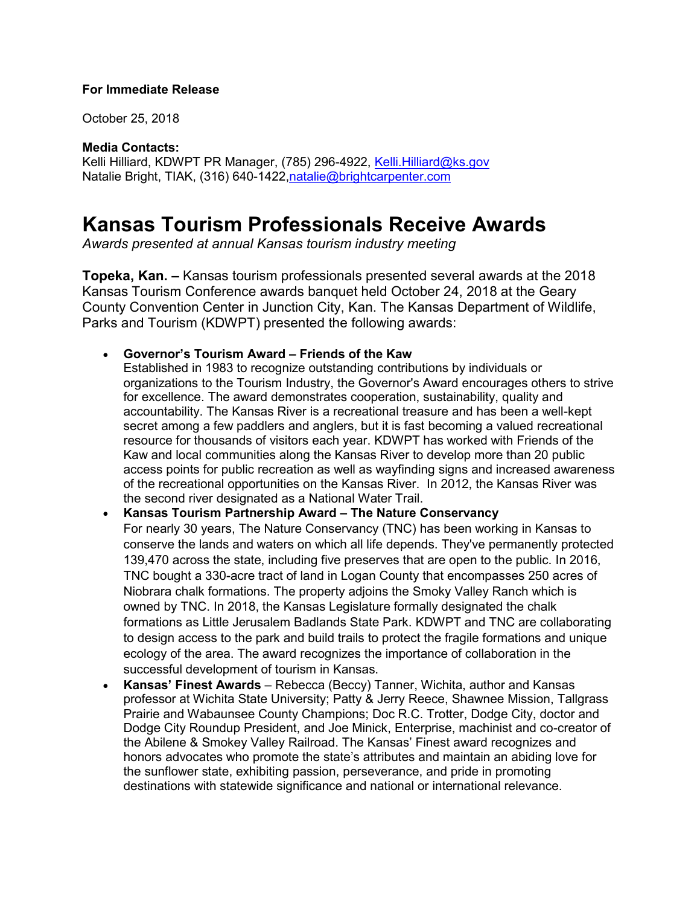## **For Immediate Release**

October 25, 2018

**Media Contacts:**

Kelli Hilliard, KDWPT PR Manager, (785) 296-4922, Kelli Hilliard@ks.gov Natalie Bright, TIAK, (316) 640-1422, natalie@brightcarpenter.com

## **Kansas Tourism Professionals Receive Awards**

*Awards presented at annual Kansas tourism industry meeting*

**Topeka, Kan. –** Kansas tourism professionals presented several awards at the 2018 Kansas Tourism Conference awards banquet held October 24, 2018 at the Geary County Convention Center in Junction City, Kan. The Kansas Department of Wildlife, Parks and Tourism (KDWPT) presented the following awards:

• **Governor's Tourism Award – Friends of the Kaw**

Established in 1983 to recognize outstanding contributions by individuals or organizations to the Tourism Industry, the Governor's Award encourages others to strive for excellence. The award demonstrates cooperation, sustainability, quality and accountability. The Kansas River is a recreational treasure and has been a well-kept secret among a few paddlers and anglers, but it is fast becoming a valued recreational resource for thousands of visitors each year. KDWPT has worked with Friends of the Kaw and local communities along the Kansas River to develop more than 20 public access points for public recreation as well as wayfinding signs and increased awareness of the recreational opportunities on the Kansas River. In 2012, the Kansas River was the second river designated as a National Water Trail.

## • **Kansas Tourism Partnership Award – The Nature Conservancy** For nearly 30 years, The Nature Conservancy (TNC) has been working in Kansas to conserve the lands and waters on which all life depends. They've permanently protected 139,470 across the state, including five preserves that are open to the public. In 2016, TNC bought a 330-acre tract of land in Logan County that encompasses 250 acres of Niobrara chalk formations. The property adjoins the Smoky Valley Ranch which is owned by TNC. In 2018, the Kansas Legislature formally designated the chalk formations as Little Jerusalem Badlands State Park. KDWPT and TNC are collaborating to design access to the park and build trails to protect the fragile formations and unique ecology of the area. The award recognizes the importance of collaboration in the successful development of tourism in Kansas.

• **Kansas' Finest Awards** – Rebecca (Beccy) Tanner, Wichita, author and Kansas professor at Wichita State University; Patty & Jerry Reece, Shawnee Mission, Tallgrass Prairie and Wabaunsee County Champions; Doc R.C. Trotter, Dodge City, doctor and Dodge City Roundup President, and Joe Minick, Enterprise, machinist and co-creator of the Abilene & Smokey Valley Railroad. The Kansas' Finest award recognizes and honors advocates who promote the state's attributes and maintain an abiding love for the sunflower state, exhibiting passion, perseverance, and pride in promoting destinations with statewide significance and national or international relevance.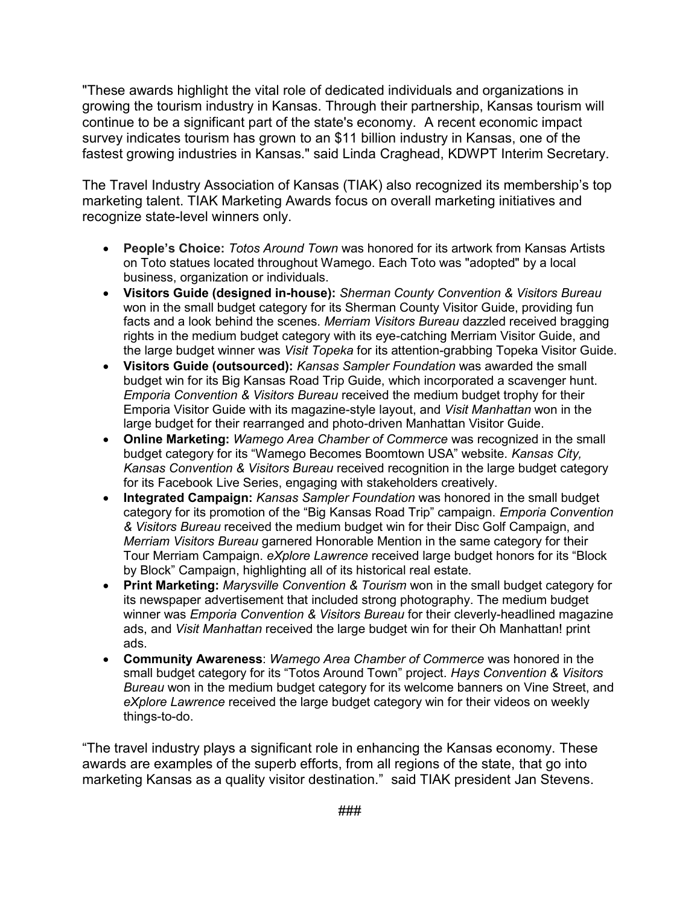"These awards highlight the vital role of dedicated individuals and organizations in growing the tourism industry in Kansas. Through their partnership, Kansas tourism will continue to be a significant part of the state's economy. A recent economic impact survey indicates tourism has grown to an \$11 billion industry in Kansas, one of the fastest growing industries in Kansas." said Linda Craghead, KDWPT Interim Secretary.

The Travel Industry Association of Kansas (TIAK) also recognized its membership's top marketing talent. TIAK Marketing Awards focus on overall marketing initiatives and recognize state-level winners only.

- **People's Choice:** *Totos Around Town* was honored for its artwork from Kansas Artists on Toto statues located throughout Wamego. Each Toto was "adopted" by a local business, organization or individuals.
- **Visitors Guide (designed in-house):** *Sherman County Convention & Visitors Bureau* won in the small budget category for its Sherman County Visitor Guide, providing fun facts and a look behind the scenes. *Merriam Visitors Bureau* dazzled received bragging rights in the medium budget category with its eye-catching Merriam Visitor Guide, and the large budget winner was *Visit Topeka* for its attention-grabbing Topeka Visitor Guide.
- **Visitors Guide (outsourced):** *Kansas Sampler Foundation* was awarded the small budget win for its Big Kansas Road Trip Guide, which incorporated a scavenger hunt. *Emporia Convention & Visitors Bureau* received the medium budget trophy for their Emporia Visitor Guide with its magazine-style layout, and *Visit Manhattan* won in the large budget for their rearranged and photo-driven Manhattan Visitor Guide.
- **Online Marketing:** *Wamego Area Chamber of Commerce* was recognized in the small budget category for its "Wamego Becomes Boomtown USA" website. *Kansas City, Kansas Convention & Visitors Bureau* received recognition in the large budget category for its Facebook Live Series, engaging with stakeholders creatively.
- **Integrated Campaign:** *Kansas Sampler Foundation* was honored in the small budget category for its promotion of the "Big Kansas Road Trip" campaign. *Emporia Convention & Visitors Bureau* received the medium budget win for their Disc Golf Campaign, and *Merriam Visitors Bureau* garnered Honorable Mention in the same category for their Tour Merriam Campaign. *eXplore Lawrence* received large budget honors for its "Block by Block" Campaign, highlighting all of its historical real estate.
- **Print Marketing:** *Marysville Convention & Tourism* won in the small budget category for its newspaper advertisement that included strong photography. The medium budget winner was *Emporia Convention & Visitors Bureau* for their cleverly-headlined magazine ads, and *Visit Manhattan* received the large budget win for their Oh Manhattan! print ads.
- **Community Awareness**: *Wamego Area Chamber of Commerce* was honored in the small budget category for its "Totos Around Town" project. *Hays Convention & Visitors Bureau* won in the medium budget category for its welcome banners on Vine Street, and *eXplore Lawrence* received the large budget category win for their videos on weekly things-to-do.

"The travel industry plays a significant role in enhancing the Kansas economy. These awards are examples of the superb efforts, from all regions of the state, that go into marketing Kansas as a quality visitor destination." said TIAK president Jan Stevens.